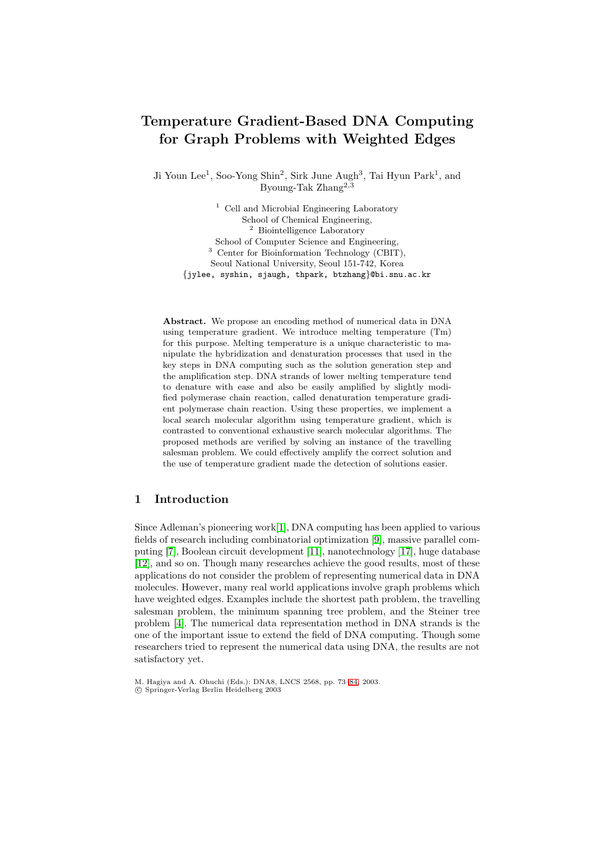# **Temperature Gradient-Based DNA Computing for Graph Problems with Weighted Edges**

Ji Youn Lee<sup>1</sup>, Soo-Yong Shin<sup>2</sup>, Sirk June Augh<sup>3</sup>, Tai Hyun Park<sup>1</sup>, and Byoung-Tak Zhang2*,*<sup>3</sup>

<sup>1</sup> Cell and Microbial Engineering Laboratory School of Chemical Engineering, <sup>2</sup> Biointelligence Laboratory School of Computer Science and Engineering, <sup>3</sup> Center for Bioinformation Technology (CBIT), Seoul National University, Seoul 151-742, Korea {jylee, syshin, sjaugh, thpark, btzhang}@bi.snu.ac.kr

**Abstract.** We propose an encoding method of numerical data in DNA using temperature gradient. We introduce melting temperature (Tm) for this purpose. Melting temperature is a unique characteristic to manipulate the hybridization and denaturation processes that used in the key steps in DNA computing such as the solution generation step and the amplification step. DNA strands of lower melting temperature tend to denature with ease and also be easily amplified by slightly modified polymerase chain reaction, called denaturation temperature gradient polymerase chain reaction. Using these properties, we implement a local search molecular algorithm using temperature gradient, which is contrasted to conventional exhaustive search molecular algorithms. The proposed methods are verified by solving an instance of the travelling salesman problem. We could effectively amplify the correct solution and the use of temperature gradient made the detection of solutions easier.

# **1 Introduction**

Since Adleman's pioneering work[\[1\]](#page-10-0), DNA computing has been applied to various fields of research including combinatorial optimization [\[9\]](#page-11-0), massive parallel computing [\[7\]](#page-11-1), Boolean circuit development [\[11\]](#page-11-2), nanotechnology [\[17\]](#page-11-3), huge database [\[12\]](#page-11-4), and so on. Though many researches achieve the good results, most of these applications do not consider the problem of representing numerical data in DNA molecules. However, many real world applications involve graph problems which have weighted edges. Examples include the shortest path problem, the travelling salesman problem, the minimum spanning tree problem, and the Steiner tree problem [\[4\]](#page-11-5). The numerical data representation method in DNA strands is the one of the important issue to extend the field of DNA computing. Though some researchers tried to represent the numerical data using DNA, the results are not satisfactory yet.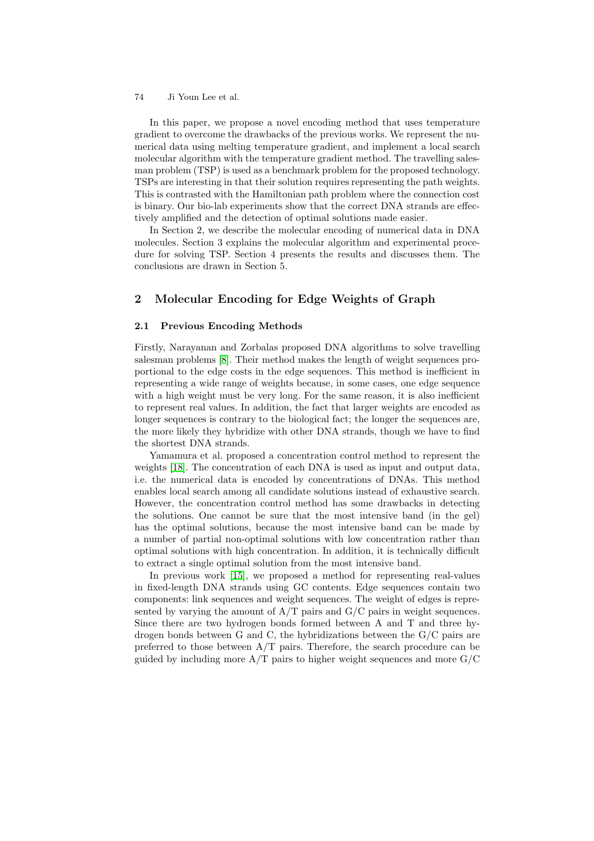In this paper, we propose a novel encoding method that uses temperature gradient to overcome the drawbacks of the previous works. We represent the numerical data using melting temperature gradient, and implement a local search molecular algorithm with the temperature gradient method. The travelling salesman problem (TSP) is used as a benchmark problem for the proposed technology. TSPs are interesting in that their solution requires representing the path weights. This is contrasted with the Hamiltonian path problem where the connection cost is binary. Our bio-lab experiments show that the correct DNA strands are effectively amplified and the detection of optimal solutions made easier.

In Section 2, we describe the molecular encoding of numerical data in DNA molecules. Section 3 explains the molecular algorithm and experimental procedure for solving TSP. Section 4 presents the results and discusses them. The conclusions are drawn in Section 5.

# **2 Molecular Encoding for Edge Weights of Graph**

# **2.1 Previous Encoding Methods**

Firstly, Narayanan and Zorbalas proposed DNA algorithms to solve travelling salesman problems [\[8\]](#page-11-7). Their method makes the length of weight sequences proportional to the edge costs in the edge sequences. This method is inefficient in representing a wide range of weights because, in some cases, one edge sequence with a high weight must be very long. For the same reason, it is also inefficient to represent real values. In addition, the fact that larger weights are encoded as longer sequences is contrary to the biological fact; the longer the sequences are, the more likely they hybridize with other DNA strands, though we have to find the shortest DNA strands.

Yamamura et al. proposed a concentration control method to represent the weights [\[18\]](#page-11-8). The concentration of each DNA is used as input and output data, i.e. the numerical data is encoded by concentrations of DNAs. This method enables local search among all candidate solutions instead of exhaustive search. However, the concentration control method has some drawbacks in detecting the solutions. One cannot be sure that the most intensive band (in the gel) has the optimal solutions, because the most intensive band can be made by a number of partial non-optimal solutions with low concentration rather than optimal solutions with high concentration. In addition, it is technically difficult to extract a single optimal solution from the most intensive band.

In previous work [\[15\]](#page-11-9), we proposed a method for representing real-values in fixed-length DNA strands using GC contents. Edge sequences contain two components: link sequences and weight sequences. The weight of edges is represented by varying the amount of  $A/T$  pairs and  $G/C$  pairs in weight sequences. Since there are two hydrogen bonds formed between A and T and three hydrogen bonds between G and C, the hybridizations between the G/C pairs are preferred to those between A/T pairs. Therefore, the search procedure can be guided by including more  $A/T$  pairs to higher weight sequences and more  $G/C$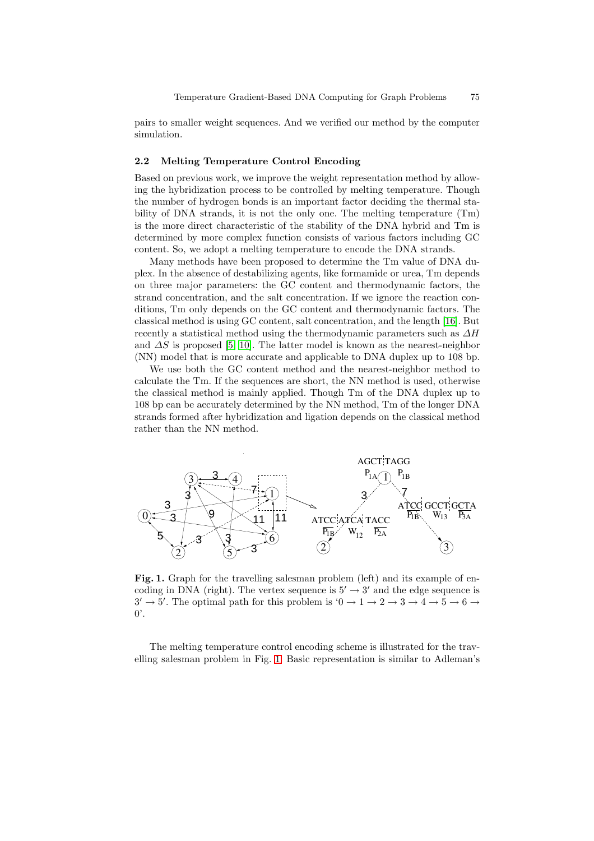pairs to smaller weight sequences. And we verified our method by the computer simulation.

#### **2.2 Melting Temperature Control Encoding**

Based on previous work, we improve the weight representation method by allowing the hybridization process to be controlled by melting temperature. Though the number of hydrogen bonds is an important factor deciding the thermal stability of DNA strands, it is not the only one. The melting temperature (Tm) is the more direct characteristic of the stability of the DNA hybrid and Tm is determined by more complex function consists of various factors including GC content. So, we adopt a melting temperature to encode the DNA strands.

Many methods have been proposed to determine the Tm value of DNA duplex. In the absence of destabilizing agents, like formamide or urea, Tm depends on three major parameters: the GC content and thermodynamic factors, the strand concentration, and the salt concentration. If we ignore the reaction conditions, Tm only depends on the GC content and thermodynamic factors. The classical method is using GC content, salt concentration, and the length [\[16\]](#page-11-10). But recently a statistical method using the thermodynamic parameters such as  $\Delta H$ and  $\Delta S$  is proposed [\[5,](#page-11-11) [10\]](#page-11-12). The latter model is known as the nearest-neighbor (NN) model that is more accurate and applicable to DNA duplex up to 108 bp.

We use both the GC content method and the nearest-neighbor method to calculate the Tm. If the sequences are short, the NN method is used, otherwise the classical method is mainly applied. Though Tm of the DNA duplex up to 108 bp can be accurately determined by the NN method, Tm of the longer DNA strands formed after hybridization and ligation depends on the classical method rather than the NN method.



<span id="page-2-0"></span>**Fig. 1.** Graph for the travelling salesman problem (left) and its example of encoding in DNA (right). The vertex sequence is  $5' \rightarrow 3'$  and the edge sequence is  $3' \rightarrow 5'$ . The optimal path for this problem is  $0 \rightarrow 1 \rightarrow 2 \rightarrow 3 \rightarrow 4 \rightarrow 5 \rightarrow 6 \rightarrow$  $0^{\prime}$ .

The melting temperature control encoding scheme is illustrated for the travelling salesman problem in Fig. [1.](#page-2-0) Basic representation is similar to Adleman's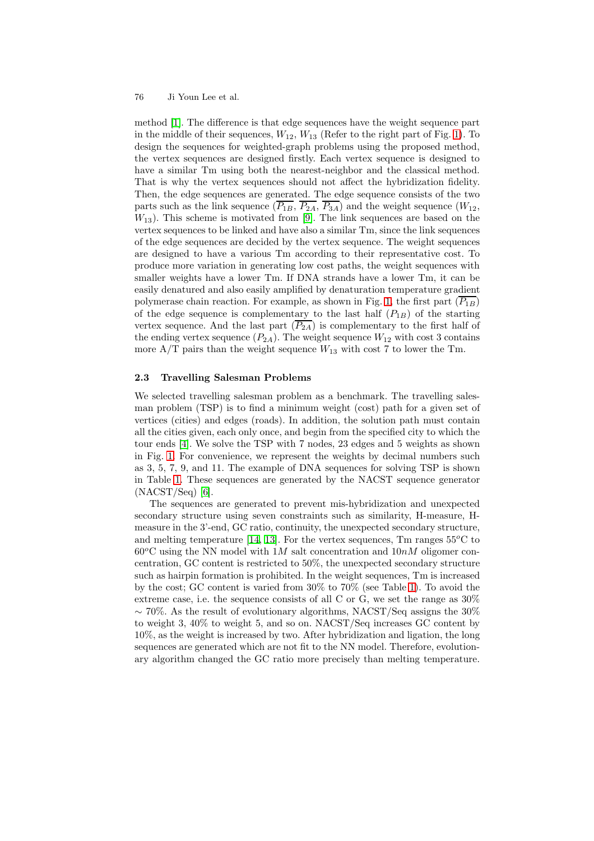method [\[1\]](#page-10-0). The difference is that edge sequences have the weight sequence part in the middle of their sequences,  $W_{12}$ ,  $W_{13}$  (Refer to the right part of Fig. [1\)](#page-2-0). To design the sequences for weighted-graph problems using the proposed method, the vertex sequences are designed firstly. Each vertex sequence is designed to have a similar Tm using both the nearest-neighbor and the classical method. That is why the vertex sequences should not affect the hybridization fidelity. Then, the edge sequences are generated. The edge sequence consists of the two parts such as the link sequence  $(\overline{P_{1B}}, \overline{P_{2A}}, \overline{P_{3A}})$  and the weight sequence  $(W_{12},$  $W_{13}$ ). This scheme is motivated from [\[9\]](#page-11-0). The link sequences are based on the vertex sequences to be linked and have also a similar Tm, since the link sequences of the edge sequences are decided by the vertex sequence. The weight sequences are designed to have a various Tm according to their representative cost. To produce more variation in generating low cost paths, the weight sequences with smaller weights have a lower Tm. If DNA strands have a lower Tm, it can be easily denatured and also easily amplified by denaturation temperature gradient polymerase chain reaction. For example, as shown in Fig. [1,](#page-2-0) the first part  $(P_{1B})$ of the edge sequence is complementary to the last half  $(P_{1B})$  of the starting vertex sequence. And the last part  $(P_{2A})$  is complementary to the first half of the ending vertex sequence  $(P_{2A})$ . The weight sequence  $W_{12}$  with cost 3 contains more  $A/T$  pairs than the weight sequence  $W_{13}$  with cost 7 to lower the Tm.

# **2.3 Travelling Salesman Problems**

We selected travelling salesman problem as a benchmark. The travelling salesman problem (TSP) is to find a minimum weight (cost) path for a given set of vertices (cities) and edges (roads). In addition, the solution path must contain all the cities given, each only once, and begin from the specified city to which the tour ends [\[4\]](#page-11-5). We solve the TSP with 7 nodes, 23 edges and 5 weights as shown in Fig. [1.](#page-2-0) For convenience, we represent the weights by decimal numbers such as 3, 5, 7, 9, and 11. The example of DNA sequences for solving TSP is shown in Table [1.](#page-4-0) These sequences are generated by the NACST sequence generator  $(NACST/Seq)$  [\[6\]](#page-11-13).

The sequences are generated to prevent mis-hybridization and unexpected secondary structure using seven constraints such as similarity, H-measure, Hmeasure in the 3'-end, GC ratio, continuity, the unexpected secondary structure, and melting temperature  $[14, 13]$  $[14, 13]$ . For the vertex sequences, Tm ranges  $55^{\circ}$ C to  $60^{\circ}$ C using the NN model with  $1M$  salt concentration and  $10nM$  oligomer concentration, GC content is restricted to 50%, the unexpected secondary structure such as hairpin formation is prohibited. In the weight sequences, Tm is increased by the cost; GC content is varied from 30% to 70% (see Table [1\)](#page-4-0). To avoid the extreme case, i.e. the sequence consists of all C or G, we set the range as 30%  $\sim$  70%. As the result of evolutionary algorithms, NACST/Seq assigns the 30% to weight 3, 40% to weight 5, and so on. NACST/Seq increases GC content by 10%, as the weight is increased by two. After hybridization and ligation, the long sequences are generated which are not fit to the NN model. Therefore, evolutionary algorithm changed the GC ratio more precisely than melting temperature.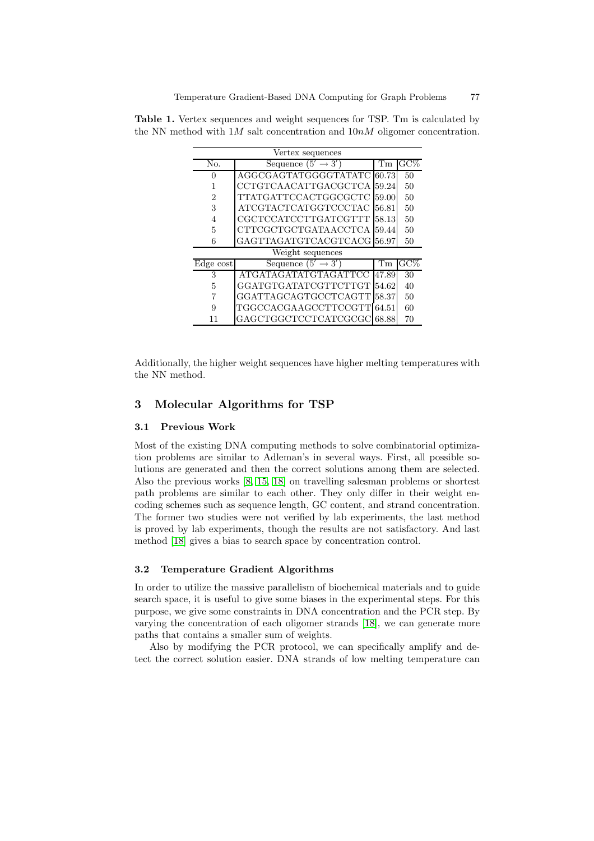| Vertex sequences |                                |       |     |
|------------------|--------------------------------|-------|-----|
| No.              | Sequence $(5' \rightarrow 3')$ | Tm    | GC% |
| 0                | AGGCGAGTATGGGGTATATC           | 60.73 | 50  |
| 1                | CCTGTCAACATTGACGCTCA           | 59.24 | 50  |
| $\overline{2}$   | TTATGATTCCACTGGCGCTC           | 59.00 | 50  |
| 3                | ATCGTACTCATGGTCCCTAC           | 56.81 | 50  |
| $\overline{4}$   | CGCTCCATCCTTGATCGTTT           | 58.13 | 50  |
| 5                | CTTCGCTGCTGATAACCTCA           | 59.44 | 50  |
| 6                | GAGTTAGATGTCACGTCACG           | 56.97 | 50  |
| Weight sequences |                                |       |     |
| Edge cost        | Sequence $(5' \rightarrow 3')$ | Tm    | GC% |
| 3                | ATGATAGATATGTAGATTCC           | 47.89 | 30  |
| 5                | GGATGTGATATCGTTCTTGT           | 54.62 | 40  |
|                  | GGATTAGCAGTGCCTCAGTT           | 58.37 | 50  |
| 9                | TGGCCACGAAGCCTTCCGTT           | 64.51 | 60  |
| 11               | GAGCTGGCTCCTCATCGCGC           | 68.88 | 70  |

<span id="page-4-0"></span>**Table 1.** Vertex sequences and weight sequences for TSP. Tm is calculated by the NN method with  $1M$  salt concentration and  $10nM$  oligomer concentration.

Additionally, the higher weight sequences have higher melting temperatures with the NN method.

# **3 Molecular Algorithms for TSP**

# **3.1 Previous Work**

Most of the existing DNA computing methods to solve combinatorial optimization problems are similar to Adleman's in several ways. First, all possible solutions are generated and then the correct solutions among them are selected. Also the previous works [\[8,](#page-11-7) [15,](#page-11-9) [18\]](#page-11-8) on travelling salesman problems or shortest path problems are similar to each other. They only differ in their weight encoding schemes such as sequence length, GC content, and strand concentration. The former two studies were not verified by lab experiments, the last method is proved by lab experiments, though the results are not satisfactory. And last method [\[18\]](#page-11-8) gives a bias to search space by concentration control.

# **3.2 Temperature Gradient Algorithms**

In order to utilize the massive parallelism of biochemical materials and to guide search space, it is useful to give some biases in the experimental steps. For this purpose, we give some constraints in DNA concentration and the PCR step. By varying the concentration of each oligomer strands [\[18\]](#page-11-8), we can generate more paths that contains a smaller sum of weights.

Also by modifying the PCR protocol, we can specifically amplify and detect the correct solution easier. DNA strands of low melting temperature can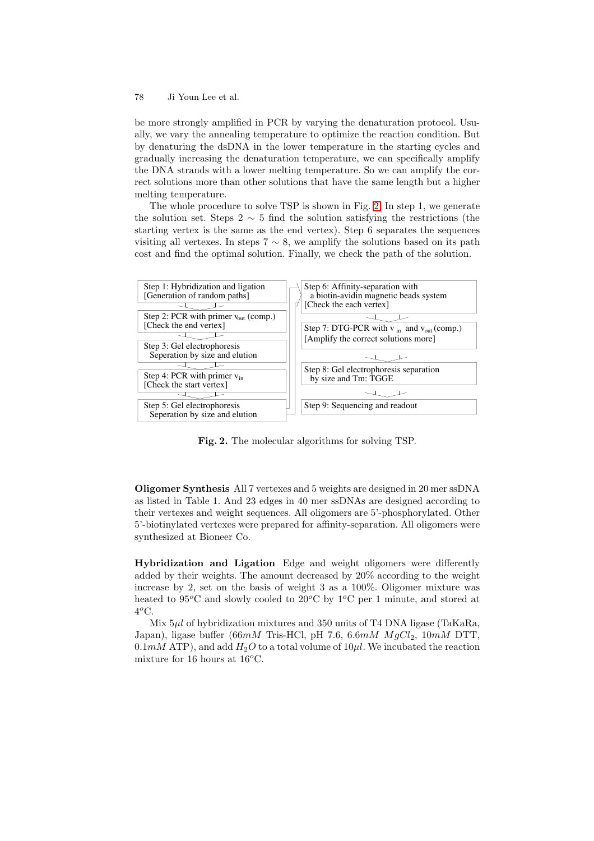be more strongly amplified in PCR by varying the denaturation protocol. Usually, we vary the annealing temperature to optimize the reaction condition. But by denaturing the dsDNA in the lower temperature in the starting cycles and gradually increasing the denaturation temperature, we can specifically amplify the DNA strands with a lower melting temperature. So we can amplify the correct solutions more than other solutions that have the same length but a higher melting temperature.

The whole procedure to solve TSP is shown in Fig. [2.](#page-5-0) In step 1, we generate the solution set. Steps 2  $\sim$  5 find the solution satisfying the restrictions (the starting vertex is the same as the end vertex). Step 6 separates the sequences visiting all vertexes. In steps  $7 \sim 8$ , we amplify the solutions based on its path cost and find the optimal solution. Finally, we check the path of the solution.



<span id="page-5-0"></span>**Fig. 2.** The molecular algorithms for solving TSP.

**Oligomer Synthesis** All 7 vertexes and 5 weights are designed in 20 mer ssDNA as listed in Table 1. And 23 edges in 40 mer ssDNAs are designed according to their vertexes and weight sequences. All oligomers are 5'-phosphorylated. Other 5'-biotinylated vertexes were prepared for affinity-separation. All oligomers were synthesized at Bioneer Co.

**Hybridization and Ligation** Edge and weight oligomers were differently added by their weights. The amount decreased by 20% according to the weight increase by 2, set on the basis of weight 3 as a 100%. Oligomer mixture was heated to 95<sup>o</sup>C and slowly cooled to 20<sup>o</sup>C by 1<sup>o</sup>C per 1 minute, and stored at 4*<sup>o</sup>*C.

Mix  $5\mu l$  of hybridization mixtures and 350 units of T4 DNA ligase (TaKaRa, Japan), ligase buffer (66mM Tris-HCl, pH 7.6, 6.6mM  $MgCl<sub>2</sub>$ , 10mM DTT,  $0.1mM$  ATP), and add  $H<sub>2</sub>O$  to a total volume of  $10\mu l$ . We incubated the reaction mixture for 16 hours at 16*<sup>o</sup>*C.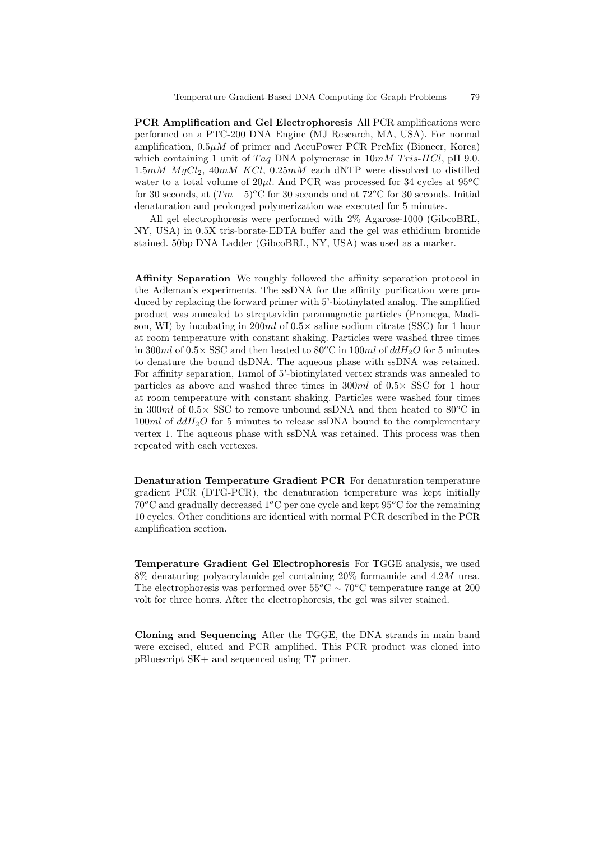**PCR Amplification and Gel Electrophoresis** All PCR amplifications were performed on a PTC-200 DNA Engine (MJ Research, MA, USA). For normal amplification,  $0.5\mu M$  of primer and AccuPower PCR PreMix (Bioneer, Korea) which containing 1 unit of  $Taq$  DNA polymerase in  $10mM$  Tris-HCl, pH 9.0,  $1.5mM$   $MgCl<sub>2</sub>$ ,  $40mM$   $KCl$ ,  $0.25mM$  each dNTP were dissolved to distilled water to a total volume of  $20\mu l$ . And PCR was processed for 34 cycles at 95<sup>o</sup>C for 30 seconds, at  $(Tm-5)$ <sup>o</sup>C for 30 seconds and at 72<sup>o</sup>C for 30 seconds. Initial denaturation and prolonged polymerization was executed for 5 minutes.

All gel electrophoresis were performed with 2% Agarose-1000 (GibcoBRL, NY, USA) in 0.5X tris-borate-EDTA buffer and the gel was ethidium bromide stained. 50bp DNA Ladder (GibcoBRL, NY, USA) was used as a marker.

**Affinity Separation** We roughly followed the affinity separation protocol in the Adleman's experiments. The ssDNA for the affinity purification were produced by replacing the forward primer with 5'-biotinylated analog. The amplified product was annealed to streptavidin paramagnetic particles (Promega, Madison, WI) by incubating in 200 $ml$  of  $0.5\times$  saline sodium citrate (SSC) for 1 hour at room temperature with constant shaking. Particles were washed three times in 300ml of  $0.5 \times$  SSC and then heated to 80<sup>o</sup>C in 100ml of  $ddH_2O$  for 5 minutes to denature the bound dsDNA. The aqueous phase with ssDNA was retained. For affinity separation, 1nmol of 5'-biotinylated vertex strands was annealed to particles as above and washed three times in 300ml of 0.5× SSC for 1 hour at room temperature with constant shaking. Particles were washed four times in 300ml of  $0.5 \times$  SSC to remove unbound ssDNA and then heated to 80<sup>o</sup>C in  $100ml$  of  $ddH_2O$  for 5 minutes to release ssDNA bound to the complementary vertex 1. The aqueous phase with ssDNA was retained. This process was then repeated with each vertexes.

**Denaturation Temperature Gradient PCR** For denaturation temperature gradient PCR (DTG-PCR), the denaturation temperature was kept initially 70*<sup>o</sup>*C and gradually decreased 1*<sup>o</sup>*C per one cycle and kept 95*<sup>o</sup>*C for the remaining 10 cycles. Other conditions are identical with normal PCR described in the PCR amplification section.

**Temperature Gradient Gel Electrophoresis** For TGGE analysis, we used 8% denaturing polyacrylamide gel containing 20% formamide and 4.2M urea. The electrophoresis was performed over  $55^{\circ}C \sim 70^{\circ}C$  temperature range at 200 volt for three hours. After the electrophoresis, the gel was silver stained.

**Cloning and Sequencing** After the TGGE, the DNA strands in main band were excised, eluted and PCR amplified. This PCR product was cloned into pBluescript SK+ and sequenced using T7 primer.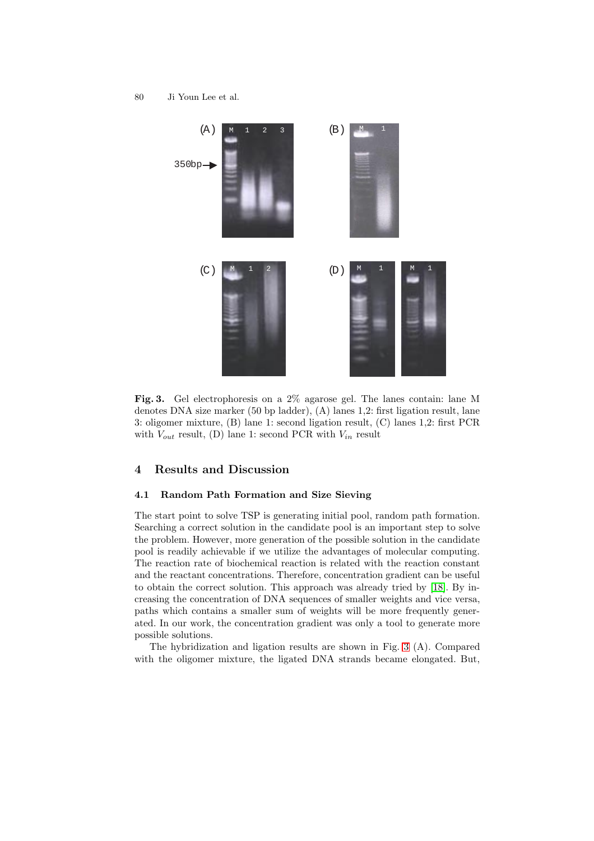

<span id="page-7-0"></span>**Fig. 3.** Gel electrophoresis on a 2% agarose gel. The lanes contain: lane M denotes DNA size marker (50 bp ladder), (A) lanes 1,2: first ligation result, lane 3: oligomer mixture, (B) lane 1: second ligation result, (C) lanes 1,2: first PCR with  $V_{out}$  result, (D) lane 1: second PCR with  $V_{in}$  result

# **4 Results and Discussion**

# **4.1 Random Path Formation and Size Sieving**

The start point to solve TSP is generating initial pool, random path formation. Searching a correct solution in the candidate pool is an important step to solve the problem. However, more generation of the possible solution in the candidate pool is readily achievable if we utilize the advantages of molecular computing. The reaction rate of biochemical reaction is related with the reaction constant and the reactant concentrations. Therefore, concentration gradient can be useful to obtain the correct solution. This approach was already tried by [\[18\]](#page-11-8). By increasing the concentration of DNA sequences of smaller weights and vice versa, paths which contains a smaller sum of weights will be more frequently generated. In our work, the concentration gradient was only a tool to generate more possible solutions.

The hybridization and ligation results are shown in Fig. [3](#page-7-0) (A). Compared with the oligomer mixture, the ligated DNA strands became elongated. But,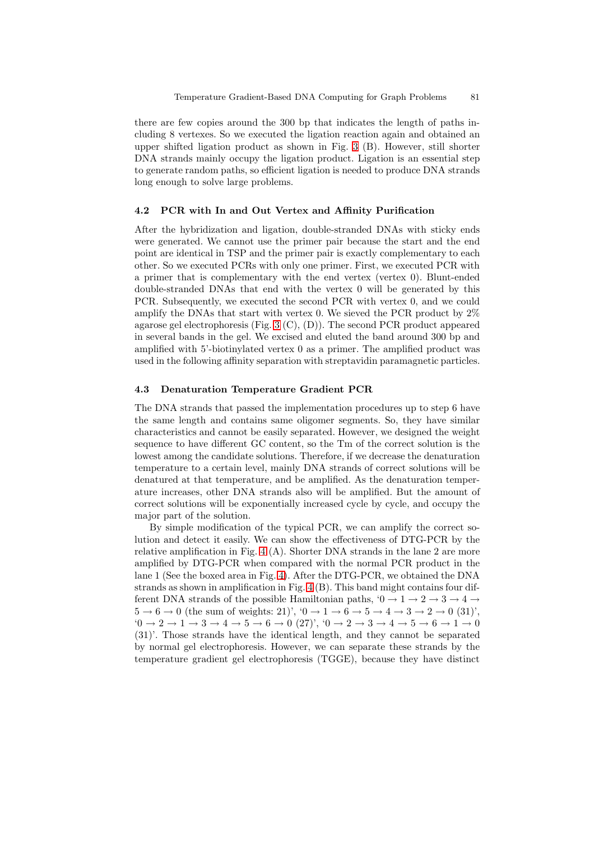there are few copies around the 300 bp that indicates the length of paths including 8 vertexes. So we executed the ligation reaction again and obtained an upper shifted ligation product as shown in Fig. [3](#page-7-0) (B). However, still shorter DNA strands mainly occupy the ligation product. Ligation is an essential step to generate random paths, so efficient ligation is needed to produce DNA strands long enough to solve large problems.

#### **4.2 PCR with In and Out Vertex and Affinity Purification**

After the hybridization and ligation, double-stranded DNAs with sticky ends were generated. We cannot use the primer pair because the start and the end point are identical in TSP and the primer pair is exactly complementary to each other. So we executed PCRs with only one primer. First, we executed PCR with a primer that is complementary with the end vertex (vertex 0). Blunt-ended double-stranded DNAs that end with the vertex 0 will be generated by this PCR. Subsequently, we executed the second PCR with vertex 0, and we could amplify the DNAs that start with vertex 0. We sieved the PCR product by 2% agarose gel electrophoresis (Fig. [3](#page-7-0) (C), (D)). The second PCR product appeared in several bands in the gel. We excised and eluted the band around 300 bp and amplified with 5'-biotinylated vertex 0 as a primer. The amplified product was used in the following affinity separation with streptavidin paramagnetic particles.

#### **4.3 Denaturation Temperature Gradient PCR**

The DNA strands that passed the implementation procedures up to step 6 have the same length and contains same oligomer segments. So, they have similar characteristics and cannot be easily separated. However, we designed the weight sequence to have different GC content, so the Tm of the correct solution is the lowest among the candidate solutions. Therefore, if we decrease the denaturation temperature to a certain level, mainly DNA strands of correct solutions will be denatured at that temperature, and be amplified. As the denaturation temperature increases, other DNA strands also will be amplified. But the amount of correct solutions will be exponentially increased cycle by cycle, and occupy the major part of the solution.

By simple modification of the typical PCR, we can amplify the correct solution and detect it easily. We can show the effectiveness of DTG-PCR by the relative amplification in Fig. [4](#page-9-0) (A). Shorter DNA strands in the lane 2 are more amplified by DTG-PCR when compared with the normal PCR product in the lane 1 (See the boxed area in Fig. [4\)](#page-9-0). After the DTG-PCR, we obtained the DNA strands as shown in amplification in Fig. [4](#page-9-0) (B). This band might contains four different DNA strands of the possible Hamiltonian paths,  $0 \rightarrow 1 \rightarrow 2 \rightarrow 3 \rightarrow 4 \rightarrow$  $5 \rightarrow 6 \rightarrow 0$  (the sum of weights: 21)',  $0 \rightarrow 1 \rightarrow 6 \rightarrow 5 \rightarrow 4 \rightarrow 3 \rightarrow 2 \rightarrow 0$  (31)',  $0 \to 2 \to 1 \to 3 \to 4 \to 5 \to 6 \to 0$  (27)',  $0 \to 2 \to 3 \to 4 \to 5 \to 6 \to 1 \to 0$ (31)'. Those strands have the identical length, and they cannot be separated by normal gel electrophoresis. However, we can separate these strands by the temperature gradient gel electrophoresis (TGGE), because they have distinct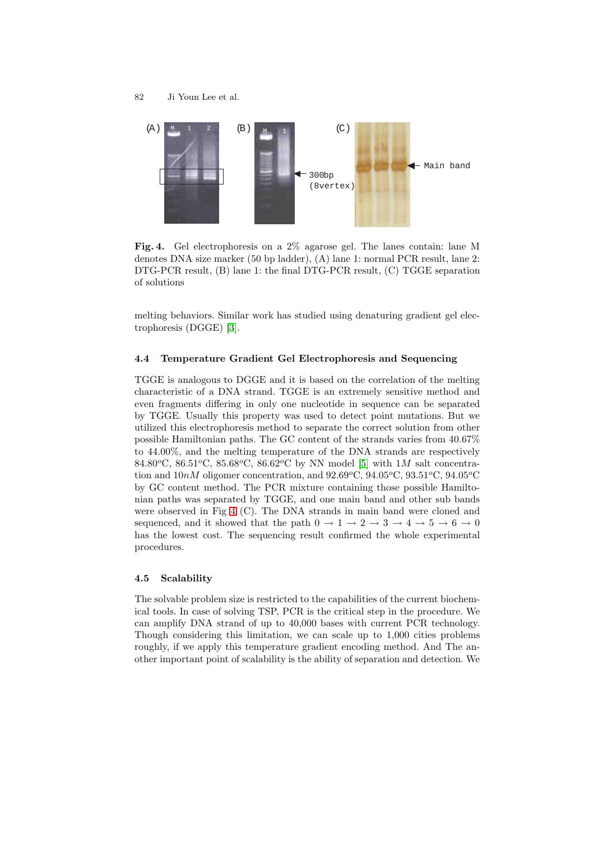

<span id="page-9-0"></span>**Fig. 4.** Gel electrophoresis on a 2% agarose gel. The lanes contain: lane M denotes DNA size marker (50 bp ladder), (A) lane 1: normal PCR result, lane 2: DTG-PCR result, (B) lane 1: the final DTG-PCR result, (C) TGGE separation of solutions

melting behaviors. Similar work has studied using denaturing gradient gel electrophoresis (DGGE) [\[3\]](#page-11-16).

# **4.4 Temperature Gradient Gel Electrophoresis and Sequencing**

TGGE is analogous to DGGE and it is based on the correlation of the melting characteristic of a DNA strand. TGGE is an extremely sensitive method and even fragments differing in only one nucleotide in sequence can be separated by TGGE. Usually this property was used to detect point mutations. But we utilized this electrophoresis method to separate the correct solution from other possible Hamiltonian paths. The GC content of the strands varies from 40.67% to 44.00%, and the melting temperature of the DNA strands are respectively 84.80*<sup>o</sup>*C, 86.51*<sup>o</sup>*C, 85.68*<sup>o</sup>*C, 86.62*<sup>o</sup>*C by NN model [\[ 5\]](#page-11-11) with 1M salt concentration and 10nM oligomer concentration, and 92.69*<sup>o</sup>*C, 94.05*<sup>o</sup>*C, 93.51*<sup>o</sup>*C, 94.05*<sup>o</sup>*C by GC content method. The PCR mixture containing those possible Hamiltonian paths was separated by TGGE, and one main band and other sub bands were observed in Fig [4](#page-9-0) (C). The DNA strands in main band were cloned and sequenced, and it showed that the path  $0 \to 1 \to 2 \to 3 \to 4 \to 5 \to 6 \to 0$ has the lowest cost. The sequencing result confirmed the whole experimental procedures.

# **4.5 Scalability**

The solvable problem size is restricted to the capabilities of the current biochemical tools. In case of solving TSP, PCR is the critical step in the procedure. We can amplify DNA strand of up to 40,000 bases with current PCR technology. Though considering this limitation, we can scale up to 1,000 cities problems roughly, if we apply this temperature gradient encoding method. And The another important point of scalability is the ability of separation and detection. We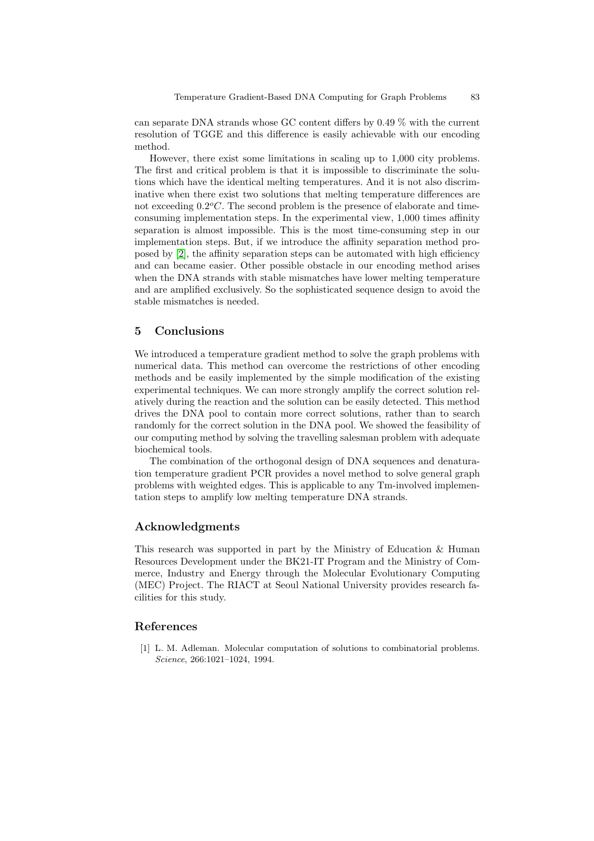can separate DNA strands whose GC content differs by 0.49 % with the current resolution of TGGE and this difference is easily achievable with our encoding method.

However, there exist some limitations in scaling up to 1,000 city problems. The first and critical problem is that it is impossible to discriminate the solutions which have the identical melting temperatures. And it is not also discriminative when there exist two solutions that melting temperature differences are not exceeding  $0.2^{\circ}C$ . The second problem is the presence of elaborate and timeconsuming implementation steps. In the experimental view, 1,000 times affinity separation is almost impossible. This is the most time-consuming step in our implementation steps. But, if we introduce the affinity separation method proposed by  $[2]$ , the affinity separation steps can be automated with high efficiency and can became easier. Other possible obstacle in our encoding method arises when the DNA strands with stable mismatches have lower melting temperature and are amplified exclusively. So the sophisticated sequence design to avoid the stable mismatches is needed.

# **5 Conclusions**

We introduced a temperature gradient method to solve the graph problems with numerical data. This method can overcome the restrictions of other encoding methods and be easily implemented by the simple modification of the existing experimental techniques. We can more strongly amplify the correct solution relatively during the reaction and the solution can be easily detected. This method drives the DNA pool to contain more correct solutions, rather than to search randomly for the correct solution in the DNA pool. We showed the feasibility of our computing method by solving the travelling salesman problem with adequate biochemical tools.

The combination of the orthogonal design of DNA sequences and denaturation temperature gradient PCR provides a novel method to solve general graph problems with weighted edges. This is applicable to any Tm-involved implementation steps to amplify low melting temperature DNA strands.

# **Acknowledgments**

This research was supported in part by the Ministry of Education & Human Resources Development under the BK21-IT Program and the Ministry of Commerce, Industry and Energy through the Molecular Evolutionary Computing (MEC) Project. The RIACT at Seoul National University provides research facilities for this study.

# <span id="page-10-0"></span>**References**

[1] L. M. Adleman. Molecular computation of solutions to combinatorial problems. *Science*, 266:1021–1024, 1994.